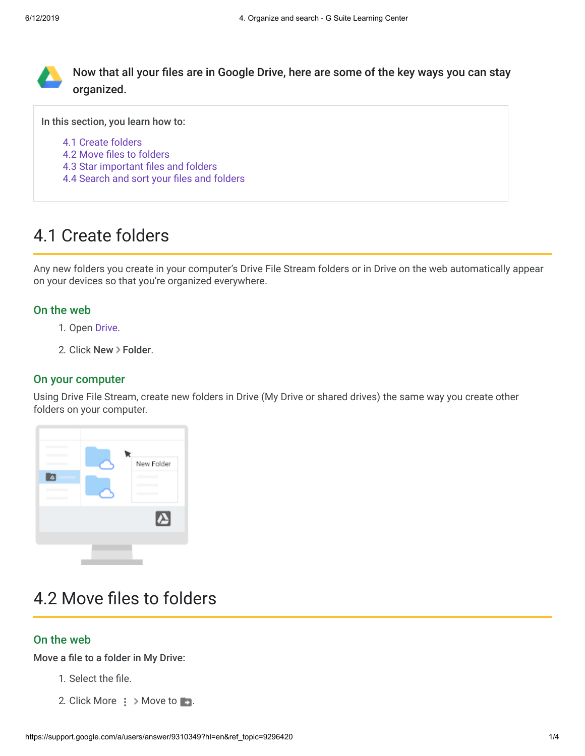

Now that all your files are in Google Drive, here are some of the key ways you can stay organized.

In this section, you learn how to:

- [4.1 Create folders](https://support.google.com/a/users/answer/9310349?hl=en&ref_topic=9296420#4.1)
- [4.2 Move files to folders](https://support.google.com/a/users/answer/9310349?hl=en&ref_topic=9296420#4.2)
- [4.3 Star important files and folders](https://support.google.com/a/users/answer/9310349?hl=en&ref_topic=9296420#4.3)
- [4.4 Search and sort your files and folders](https://support.google.com/a/users/answer/9310349?hl=en&ref_topic=9296420#4.4)

# 4.1 Create folders

Any new folders you create in your computer's Drive File Stream folders or in Drive on the web automatically appear on your devices so that you're organized everywhere.

### On the web

- 1. Open [Drive](https://drive.google.com/).
- 2. Click New > Folder.

### On your computer

Using Drive File Stream, create new folders in Drive (My Drive or shared drives) the same way you create other folders on your computer.



# 4.2 Move files to folders

## On the web

Move a file to a folder in My Drive:

- 1. Select the file.
- 2. Click More  $\frac{1}{2}$  > Move to **...**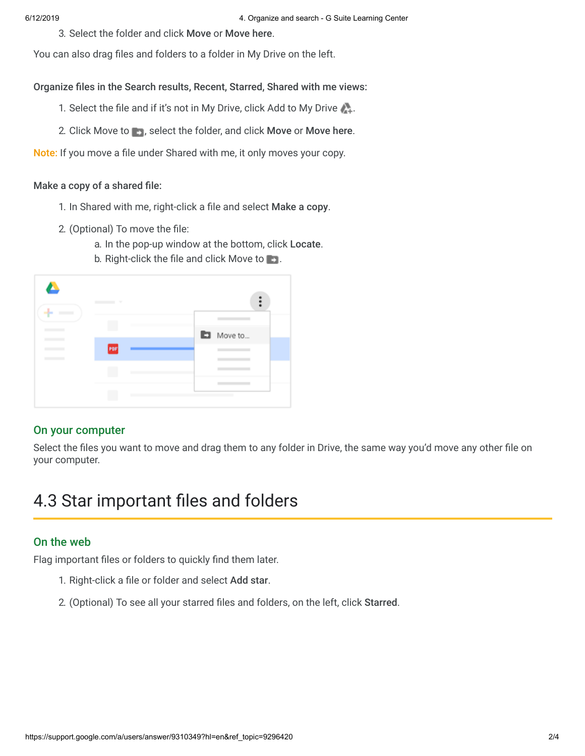3. Select the folder and click Move or Move here.

You can also drag files and folders to a folder in My Drive on the left.

Organize files in the Search results, Recent, Starred, Shared with me views:

- 1. Select the file and if it's not in My Drive, click Add to My Drive
- 2. Click Move to  $\blacksquare$ , select the folder, and click Move or Move here.

Note: If you move a file under Shared with me, it only moves your copy.

### Make a copy of a shared file:

- 1. In Shared with me, right-click a file and select Make a copy.
- 2. (Optional) To move the file:
	- a. In the pop-up window at the bottom, click Locate.
- Δ  $\ddot{\phantom{a}}$ Move to... POF
- b. Right-click the file and click Move to **...**

### On your computer

Select the files you want to move and drag them to any folder in Drive, the same way you'd move any other file on your computer.

## 4.3 Star important files and folders

### On the web

Flag important files or folders to quickly find them later.

- 1. Right-click a file or folder and select Add star.
- 2. (Optional) To see all your starred files and folders, on the left, click Starred.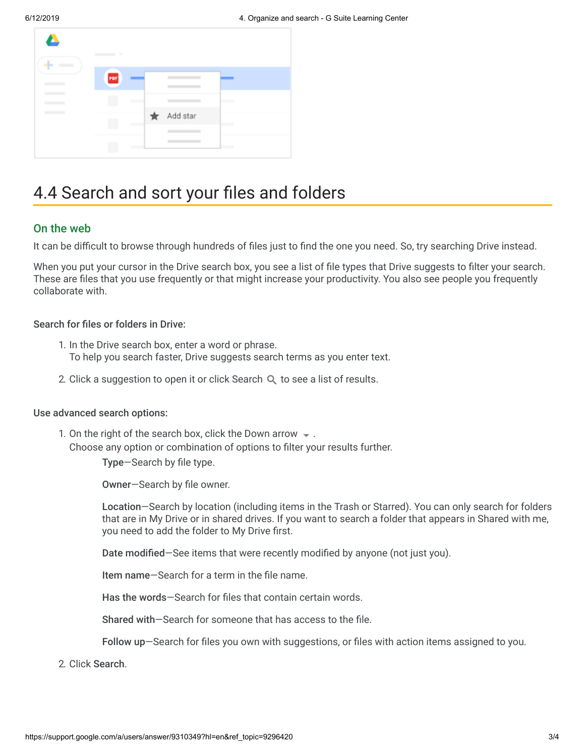| $\bullet$<br>- | ٠   |          |                   |
|----------------|-----|----------|-------------------|
|                | POF |          |                   |
|                |     |          | <b>State of A</b> |
|                |     | Add star | <b>Contract</b>   |
|                |     |          | __                |

## 4.4 Search and sort your files and folders

### On the web

It can be difficult to browse through hundreds of files just to find the one you need. So, try searching Drive instead.

When you put your cursor in the Drive search box, you see a list of file types that Drive suggests to filter your search. These are files that you use frequently or that might increase your productivity. You also see people you frequently collaborate with.

#### Search for files or folders in Drive:

- 1. In the Drive search box, enter a word or phrase. To help you search faster, Drive suggests search terms as you enter text.
- 2. Click a suggestion to open it or click Search  $Q$  to see a list of results.

#### Use advanced search options:

1. On the right of the search box, click the Down arrow  $\bullet$ . Choose any option or combination of options to filter your results further.

Type—Search by file type.

Owner—Search by file owner.

Location—Search by location (including items in the Trash or Starred). You can only search for folders that are in My Drive or in shared drives. If you want to search a folder that appears in Shared with me, you need to add the folder to My Drive first.

Date modified—See items that were recently modified by anyone (not just you).

Item name—Search for a term in the file name.

Has the words—Search for files that contain certain words.

Shared with—Search for someone that has access to the file.

Follow up—Search for files you own with suggestions, or files with action items assigned to you.

2. Click Search.